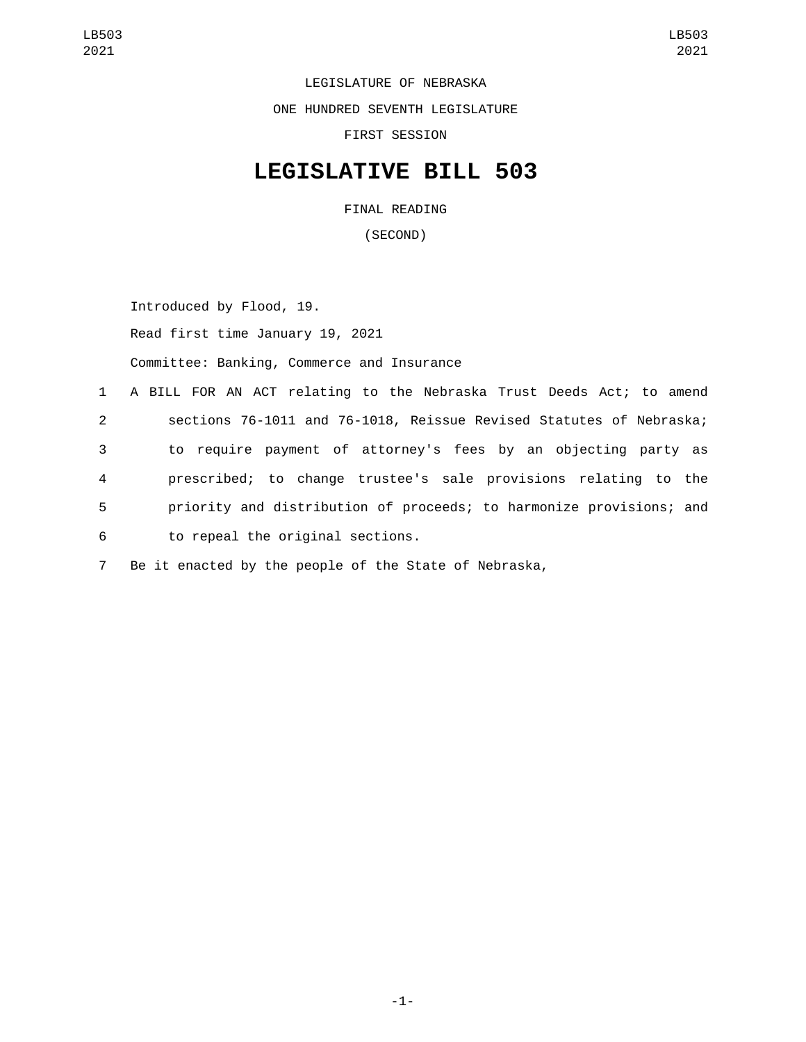LEGISLATURE OF NEBRASKA ONE HUNDRED SEVENTH LEGISLATURE FIRST SESSION

## **LEGISLATIVE BILL 503**

FINAL READING

(SECOND)

Introduced by Flood, 19. Read first time January 19, 2021 Committee: Banking, Commerce and Insurance

 A BILL FOR AN ACT relating to the Nebraska Trust Deeds Act; to amend sections 76-1011 and 76-1018, Reissue Revised Statutes of Nebraska; to require payment of attorney's fees by an objecting party as prescribed; to change trustee's sale provisions relating to the priority and distribution of proceeds; to harmonize provisions; and to repeal the original sections.6

7 Be it enacted by the people of the State of Nebraska,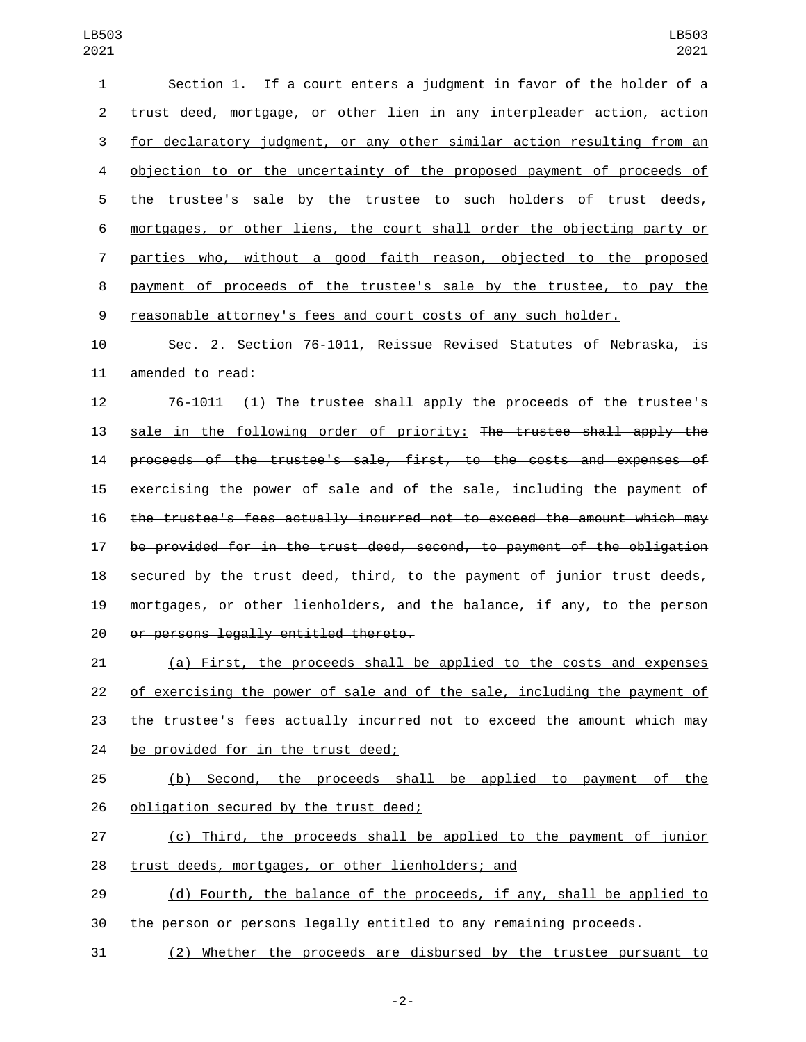| $\mathbf{1}$   | Section 1. If a court enters a judgment in favor of the holder of a     |
|----------------|-------------------------------------------------------------------------|
| 2              | trust deed, mortgage, or other lien in any interpleader action, action  |
| 3              | for declaratory judgment, or any other similar action resulting from an |
| 4              | objection to or the uncertainty of the proposed payment of proceeds of  |
| 5              | the trustee's sale by the trustee to such holders of trust deeds,       |
| 6              | mortgages, or other liens, the court shall order the objecting party or |
| $7\phantom{.}$ | parties who, without a good faith reason, objected to the proposed      |
| 8              | payment of proceeds of the trustee's sale by the trustee, to pay the    |
| 9              | reasonable attorney's fees and court costs of any such holder.          |

 Sec. 2. Section 76-1011, Reissue Revised Statutes of Nebraska, is 11 amended to read:

 76-1011 (1) The trustee shall apply the proceeds of the trustee's sale in the following order of priority: The trustee shall apply the proceeds of the trustee's sale, first, to the costs and expenses of exercising the power of sale and of the sale, including the payment of the trustee's fees actually incurred not to exceed the amount which may be provided for in the trust deed, second, to payment of the obligation secured by the trust deed, third, to the payment of junior trust deeds, mortgages, or other lienholders, and the balance, if any, to the person 20 or persons legally entitled thereto.

 (a) First, the proceeds shall be applied to the costs and expenses of exercising the power of sale and of the sale, including the payment of the trustee's fees actually incurred not to exceed the amount which may 24 be provided for in the trust deed;

 (b) Second, the proceeds shall be applied to payment of the 26 obligation secured by the trust deed;

 (c) Third, the proceeds shall be applied to the payment of junior 28 trust deeds, mortgages, or other lienholders; and

29 (d) Fourth, the balance of the proceeds, if any, shall be applied to the person or persons legally entitled to any remaining proceeds.

(2) Whether the proceeds are disbursed by the trustee pursuant to